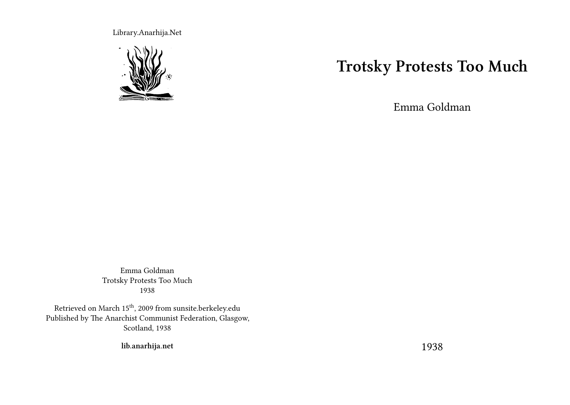Library.Anarhija.Net



## **Trotsky Protests Too Much**

Emma Goldman

Emma Goldman Trotsky Protests Too Much 1938

Retrieved on March  $15^{\rm th}$ , 2009 from sunsite.berkeley.edu Published by The Anarchist Communist Federation, Glasgow, Scotland, 1938

**lib.anarhija.net**

1938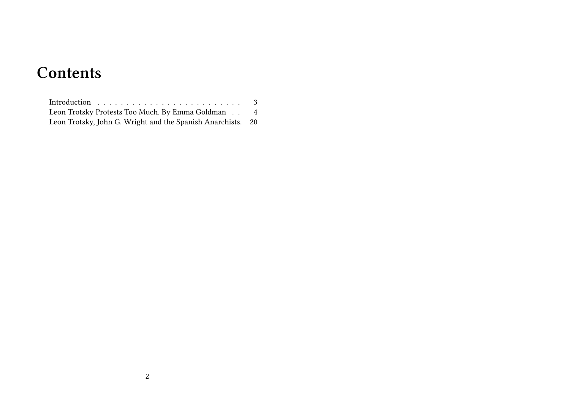# **Contents**

|                                                             | -3 |
|-------------------------------------------------------------|----|
| Leon Trotsky Protests Too Much. By Emma Goldman 4           |    |
| Leon Trotsky, John G. Wright and the Spanish Anarchists. 20 |    |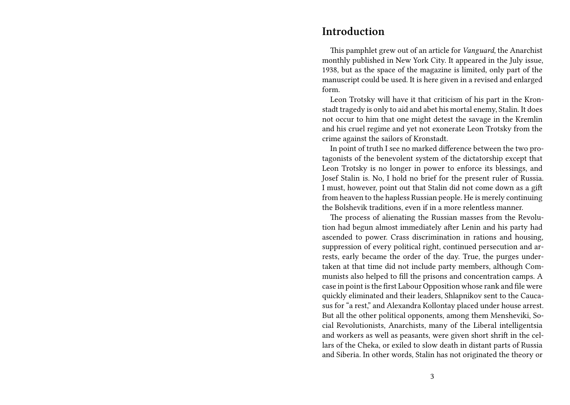#### **Introduction**

This pamphlet grew out of an article for *Vanguard*, the Anarchist monthly published in New York City. It appeared in the July issue, 1938, but as the space of the magazine is limited, only part of the manuscript could be used. It is here given in a revised and enlarged form.

Leon Trotsky will have it that criticism of his part in the Kronstadt tragedy is only to aid and abet his mortal enemy, Stalin. It does not occur to him that one might detest the savage in the Kremlin and his cruel regime and yet not exonerate Leon Trotsky from the crime against the sailors of Kronstadt.

In point of truth I see no marked difference between the two protagonists of the benevolent system of the dictatorship except that Leon Trotsky is no longer in power to enforce its blessings, and Josef Stalin is. No, I hold no brief for the present ruler of Russia. I must, however, point out that Stalin did not come down as a gift from heaven to the hapless Russian people. He is merely continuing the Bolshevik traditions, even if in a more relentless manner.

The process of alienating the Russian masses from the Revolution had begun almost immediately after Lenin and his party had ascended to power. Crass discrimination in rations and housing, suppression of every political right, continued persecution and arrests, early became the order of the day. True, the purges undertaken at that time did not include party members, although Communists also helped to fill the prisons and concentration camps. A case in point is the first Labour Opposition whose rank and file were quickly eliminated and their leaders, Shlapnikov sent to the Caucasus for "a rest," and Alexandra Kollontay placed under house arrest. But all the other political opponents, among them Mensheviki, Social Revolutionists, Anarchists, many of the Liberal intelligentsia and workers as well as peasants, were given short shrift in the cellars of the Cheka, or exiled to slow death in distant parts of Russia and Siberia. In other words, Stalin has not originated the theory or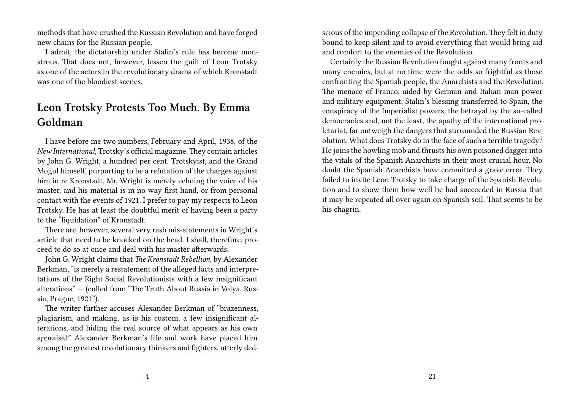methods that have crushed the Russian Revolution and have forged new chains for the Russian people.

I admit, the dictatorship under Stalin's rule has become monstrous. That does not, however, lessen the guilt of Leon Trotsky as one of the actors in the revolutionary drama of which Kronstadt was one of the bloodiest scenes.

### **Leon Trotsky Protests Too Much. By Emma Goldman**

I have before me two numbers, February and April, 1938, of the *New International*, Trotsky's official magazine. They contain articles by John G. Wright, a hundred per cent. Trotskyist, and the Grand Mogul himself, purporting to be a refutation of the charges against him in re Kronstadt. Mr. Wright is merely echoing the voice of his master, and his material is in no way first hand, or from personal contact with the events of 1921. I prefer to pay my respects to Leon Trotsky. He has at least the doubtful merit of having been a party to the "liquidation" of Kronstadt.

There are, however, several very rash mis-statements in Wright's article that need to be knocked on the head. I shall, therefore, proceed to do so at once and deal with his master afterwards.

John G. Wright claims that *The Kronstadt Rebellion*, by Alexander Berkman, "is merely a restatement of the alleged facts and interpretations of the Right Social Revolutionists with a few insignificant alterations" — (culled from "The Truth About Russia in Volya, Russia, Prague, 1921").

The writer further accuses Alexander Berkman of "brazenness, plagiarism, and making, as is his custom, a few insignificant alterations, and hiding the real source of what appears as his own appraisal." Alexander Berkman's life and work have placed him among the greatest revolutionary thinkers and fighters, utterly dedscious of the impending collapse of the Revolution. They felt in duty bound to keep silent and to avoid everything that would bring aid and comfort to the enemies of the Revolution.

Certainly the Russian Revolution fought against many fronts and many enemies, but at no time were the odds so frightful as those confronting the Spanish people, the Anarchists and the Revolution. The menace of Franco, aided by German and Italian man power and military equipment, Stalin's blessing transferred to Spain, the conspiracy of the Imperialist powers, the betrayal by the so-called democracies and, not the least, the apathy of the international proletariat, far outweigh the dangers that surrounded the Russian Revolution. What does Trotsky do in the face of such a terrible tragedy? He joins the howling mob and thrusts his own poisoned dagger into the vitals of the Spanish Anarchists in their most crucial hour. No doubt the Spanish Anarchists have committed a grave error. They failed to invite Leon Trotsky to take charge of the Spanish Revolution and to show them how well he had succeeded in Russia that it may be repeated all over again on Spanish soil. That seems to be his chagrin.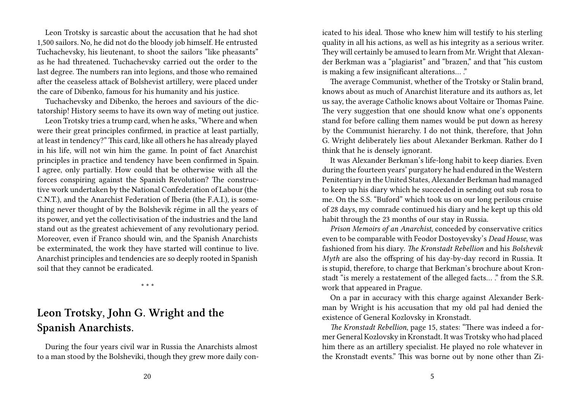Leon Trotsky is sarcastic about the accusation that he had shot 1,500 sailors. No, he did not do the bloody job himself. He entrusted Tuchachevsky, his lieutenant, to shoot the sailors "like pheasants" as he had threatened. Tuchachevsky carried out the order to the last degree. The numbers ran into legions, and those who remained after the ceaseless attack of Bolshevist artillery, were placed under the care of Dibenko, famous for his humanity and his justice.

Tuchachevsky and Dibenko, the heroes and saviours of the dictatorship! History seems to have its own way of meting out justice.

Leon Trotsky tries a trump card, when he asks, "Where and when were their great principles confirmed, in practice at least partially, at least in tendency?" This card, like all others he has already played in his life, will not win him the game. In point of fact Anarchist principles in practice and tendency have been confirmed in Spain. I agree, only partially. How could that be otherwise with all the forces conspiring against the Spanish Revolution? The constructive work undertaken by the National Confederation of Labour (the C.N.T.), and the Anarchist Federation of Iberia (the F.A.I.), is something never thought of by the Bolshevik régime in all the years of its power, and yet the collectivisation of the industries and the land stand out as the greatest achievement of any revolutionary period. Moreover, even if Franco should win, and the Spanish Anarchists be exterminated, the work they have started will continue to live. Anarchist principles and tendencies are so deeply rooted in Spanish soil that they cannot be eradicated.

\* \* \*

## **Leon Trotsky, John G. Wright and the Spanish Anarchists.**

During the four years civil war in Russia the Anarchists almost to a man stood by the Bolsheviki, though they grew more daily conicated to his ideal. Those who knew him will testify to his sterling quality in all his actions, as well as his integrity as a serious writer. They will certainly be amused to learn from Mr. Wright that Alexander Berkman was a "plagiarist" and "brazen," and that "his custom is making a few insignificant alterations… ."

The average Communist, whether of the Trotsky or Stalin brand, knows about as much of Anarchist literature and its authors as, let us say, the average Catholic knows about Voltaire or Thomas Paine. The very suggestion that one should know what one's opponents stand for before calling them names would be put down as heresy by the Communist hierarchy. I do not think, therefore, that John G. Wright deliberately lies about Alexander Berkman. Rather do I think that he is densely ignorant.

It was Alexander Berkman's life-long habit to keep diaries. Even during the fourteen years' purgatory he had endured in the Western Penitentiary in the United States, Alexander Berkman had managed to keep up his diary which he succeeded in sending out sub rosa to me. On the S.S. "Buford" which took us on our long perilous cruise of 28 days, my comrade continued his diary and he kept up this old habit through the 23 months of our stay in Russia.

*Prison Memoirs of an Anarchist*, conceded by conservative critics even to be comparable with Feodor Dostoyevsky's *Dead House*, was fashioned from his diary. *The Kronstadt Rebellion* and his *Bolshevik Myth* are also the offspring of his day-by-day record in Russia. It is stupid, therefore, to charge that Berkman's brochure about Kronstadt "is merely a restatement of the alleged facts… ." from the S.R. work that appeared in Prague.

On a par in accuracy with this charge against Alexander Berkman by Wright is his accusation that my old pal had denied the existence of General Kozlovsky in Kronstadt.

*The Kronstadt Rebellion*, page 15, states: "There was indeed a former General Kozlovsky in Kronstadt. It was Trotsky who had placed him there as an artillery specialist. He played no role whatever in the Kronstadt events." This was borne out by none other than Zi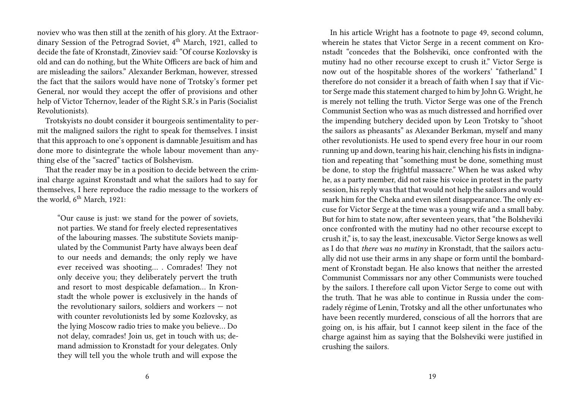noviev who was then still at the zenith of his glory. At the Extraordinary Session of the Petrograd Soviet, 4<sup>th</sup> March, 1921, called to decide the fate of Kronstadt, Zinoviev said: "Of course Kozlovsky is old and can do nothing, but the White Officers are back of him and are misleading the sailors." Alexander Berkman, however, stressed the fact that the sailors would have none of Trotsky's former pet General, nor would they accept the offer of provisions and other help of Victor Tchernov, leader of the Right S.R.'s in Paris (Socialist Revolutionists).

Trotskyists no doubt consider it bourgeois sentimentality to permit the maligned sailors the right to speak for themselves. I insist that this approach to one's opponent is damnable Jesuitism and has done more to disintegrate the whole labour movement than anything else of the "sacred" tactics of Bolshevism.

That the reader may be in a position to decide between the criminal charge against Kronstadt and what the sailors had to say for themselves, I here reproduce the radio message to the workers of the world,  $6^{th}$  March, 1921:

"Our cause is just: we stand for the power of soviets, not parties. We stand for freely elected representatives of the labouring masses. The substitute Soviets manipulated by the Communist Party have always been deaf to our needs and demands; the only reply we have ever received was shooting… . Comrades! They not only deceive you; they deliberately pervert the truth and resort to most despicable defamation… In Kronstadt the whole power is exclusively in the hands of the revolutionary sailors, soldiers and workers — not with counter revolutionists led by some Kozlovsky, as the lying Moscow radio tries to make you believe… Do not delay, comrades! Join us, get in touch with us; demand admission to Kronstadt for your delegates. Only they will tell you the whole truth and will expose the

In his article Wright has a footnote to page 49, second column, wherein he states that Victor Serge in a recent comment on Kronstadt "concedes that the Bolsheviki, once confronted with the mutiny had no other recourse except to crush it." Victor Serge is now out of the hospitable shores of the workers' "fatherland." I therefore do not consider it a breach of faith when I say that if Victor Serge made this statement charged to him by John G. Wright, he is merely not telling the truth. Victor Serge was one of the French Communist Section who was as much distressed and horrified over the impending butchery decided upon by Leon Trotsky to "shoot the sailors as pheasants" as Alexander Berkman, myself and many other revolutionists. He used to spend every free hour in our room running up and down, tearing his hair, clenching his fists in indignation and repeating that "something must be done, something must be done, to stop the frightful massacre." When he was asked why he, as a party member, did not raise his voice in protest in the party session, his reply was that that would not help the sailors and would mark him for the Cheka and even silent disappearance. The only excuse for Victor Serge at the time was a young wife and a small baby. But for him to state now, after seventeen years, that "the Bolsheviki once confronted with the mutiny had no other recourse except to crush it," is, to say the least, inexcusable. Victor Serge knows as well as I do that *there was no mutiny* in Kronstadt, that the sailors actually did not use their arms in any shape or form until the bombardment of Kronstadt began. He also knows that neither the arrested Communist Commissars nor any other Communists were touched by the sailors. I therefore call upon Victor Serge to come out with the truth. That he was able to continue in Russia under the comradely régime of Lenin, Trotsky and all the other unfortunates who have been recently murdered, conscious of all the horrors that are going on, is his affair, but I cannot keep silent in the face of the charge against him as saying that the Bolsheviki were justified in crushing the sailors.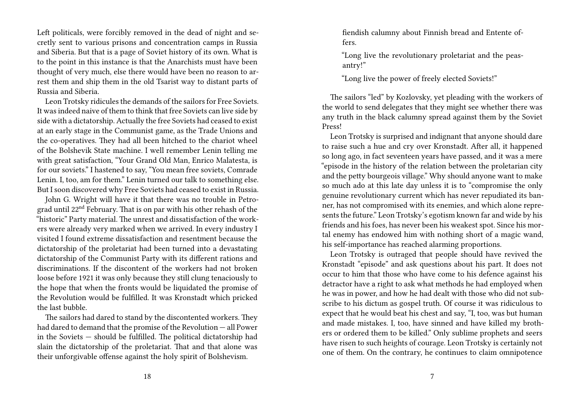Left politicals, were forcibly removed in the dead of night and secretly sent to various prisons and concentration camps in Russia and Siberia. But that is a page of Soviet history of its own. What is to the point in this instance is that the Anarchists must have been thought of very much, else there would have been no reason to arrest them and ship them in the old Tsarist way to distant parts of Russia and Siberia.

Leon Trotsky ridicules the demands of the sailors for Free Soviets. It was indeed naive of them to think that free Soviets can live side by side with a dictatorship. Actually the free Soviets had ceased to exist at an early stage in the Communist game, as the Trade Unions and the co-operatives. They had all been hitched to the chariot wheel of the Bolshevik State machine. I well remember Lenin telling me with great satisfaction, "Your Grand Old Man, Enrico Malatesta, is for our soviets." I hastened to say, "You mean free soviets, Comrade Lenin. I, too, am for them." Lenin turned our talk to something else. But I soon discovered why Free Soviets had ceased to exist in Russia.

John G. Wright will have it that there was no trouble in Petrograd until 22nd February. That is on par with his other rehash of the "historic" Party material. The unrest and dissatisfaction of the workers were already very marked when we arrived. In every industry I visited I found extreme dissatisfaction and resentment because the dictatorship of the proletariat had been turned into a devastating dictatorship of the Communist Party with its different rations and discriminations. If the discontent of the workers had not broken loose before 1921 it was only because they still clung tenaciously to the hope that when the fronts would be liquidated the promise of the Revolution would be fulfilled. It was Kronstadt which pricked the last bubble.

The sailors had dared to stand by the discontented workers. They had dared to demand that the promise of the Revolution — all Power in the Soviets — should be fulfilled. The political dictatorship had slain the dictatorship of the proletariat. That and that alone was their unforgivable offense against the holy spirit of Bolshevism.

fiendish calumny about Finnish bread and Entente offers.

"Long live the revolutionary proletariat and the peasantry!"

"Long live the power of freely elected Soviets!"

The sailors "led" by Kozlovsky, yet pleading with the workers of the world to send delegates that they might see whether there was any truth in the black calumny spread against them by the Soviet Press!

Leon Trotsky is surprised and indignant that anyone should dare to raise such a hue and cry over Kronstadt. After all, it happened so long ago, in fact seventeen years have passed, and it was a mere "episode in the history of the relation between the proletarian city and the petty bourgeois village." Why should anyone want to make so much ado at this late day unless it is to "compromise the only genuine revolutionary current which has never repudiated its banner, has not compromised with its enemies, and which alone represents the future." Leon Trotsky's egotism known far and wide by his friends and his foes, has never been his weakest spot. Since his mortal enemy has endowed him with nothing short of a magic wand, his self-importance has reached alarming proportions.

Leon Trotsky is outraged that people should have revived the Kronstadt "episode" and ask questions about his part. It does not occur to him that those who have come to his defence against his detractor have a right to ask what methods he had employed when he was in power, and how he had dealt with those who did not subscribe to his dictum as gospel truth. Of course it was ridiculous to expect that he would beat his chest and say, "I, too, was but human and made mistakes. I, too, have sinned and have killed my brothers or ordered them to be killed." Only sublime prophets and seers have risen to such heights of courage. Leon Trotsky is certainly not one of them. On the contrary, he continues to claim omnipotence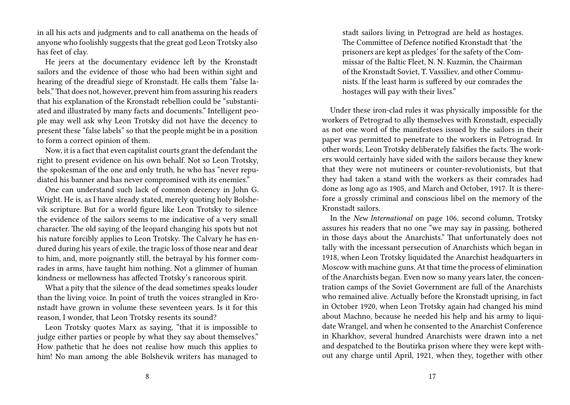in all his acts and judgments and to call anathema on the heads of anyone who foolishly suggests that the great god Leon Trotsky also has feet of clay.

He jeers at the documentary evidence left by the Kronstadt sailors and the evidence of those who had been within sight and hearing of the dreadful siege of Kronstadt. He calls them "false labels." That does not, however, prevent him from assuring his readers that his explanation of the Kronstadt rebellion could be "substantiated and illustrated by many facts and documents." Intelligent people may well ask why Leon Trotsky did not have the decency to present these "false labels" so that the people might be in a position to form a correct opinion of them.

Now, it is a fact that even capitalist courts grant the defendant the right to present evidence on his own behalf. Not so Leon Trotsky, the spokesman of the one and only truth, he who has "never repudiated his banner and has never compromised with its enemies."

One can understand such lack of common decency in John G. Wright. He is, as I have already stated, merely quoting holy Bolshevik scripture. But for a world figure like Leon Trotsky to silence the evidence of the sailors seems to me indicative of a very small character. The old saying of the leopard changing his spots but not his nature forcibly applies to Leon Trotsky. The Calvary he has endured during his years of exile, the tragic loss of those near and dear to him, and, more poignantly still, the betrayal by his former comrades in arms, have taught him nothing. Not a glimmer of human kindness or mellowness has affected Trotsky's rancorous spirit.

What a pity that the silence of the dead sometimes speaks louder than the living voice. In point of truth the voices strangled in Kronstadt have grown in volume these seventeen years. Is it for this reason, I wonder, that Leon Trotsky resents its sound?

Leon Trotsky quotes Marx as saying, "that it is impossible to judge either parties or people by what they say about themselves." How pathetic that he does not realise how much this applies to him! No man among the able Bolshevik writers has managed to stadt sailors living in Petrograd are held as hostages. The Committee of Defence notified Kronstadt that 'the prisoners are kept as pledges' for the safety of the Commissar of the Baltic Fleet, N. N. Kuzmin, the Chairman of the Kronstadt Soviet, T. Vassiliev, and other Communists. If the least harm is suffered by our comrades the hostages will pay with their lives."

Under these iron-clad rules it was physically impossible for the workers of Petrograd to ally themselves with Kronstadt, especially as not one word of the manifestoes issued by the sailors in their paper was permitted to penetrate to the workers in Petrograd. In other words, Leon Trotsky deliberately falsifies the facts. The workers would certainly have sided with the sailors because they knew that they were not mutineers or counter-revolutionists, but that they had taken a stand with the workers as their comrades had done as long ago as 1905, and March and October, 1917. It is therefore a grossly criminal and conscious libel on the memory of the Kronstadt sailors.

In the *New International* on page 106, second column, Trotsky assures his readers that no one "we may say in passing, bothered in those days about the Anarchists." That unfortunately does not tally with the incessant persecution of Anarchists which began in 1918, when Leon Trotsky liquidated the Anarchist headquarters in Moscow with machine guns. At that time the process of elimination of the Anarchists began. Even now so many years later, the concentration camps of the Soviet Government are full of the Anarchists who remained alive. Actually before the Kronstadt uprising, in fact in October 1920, when Leon Trotsky again had changed his mind about Machno, because he needed his help and his army to liquidate Wrangel, and when he consented to the Anarchist Conference in Kharkhov, several hundred Anarchists were drawn into a net and despatched to the Boutirka prison where they were kept without any charge until April, 1921, when they, together with other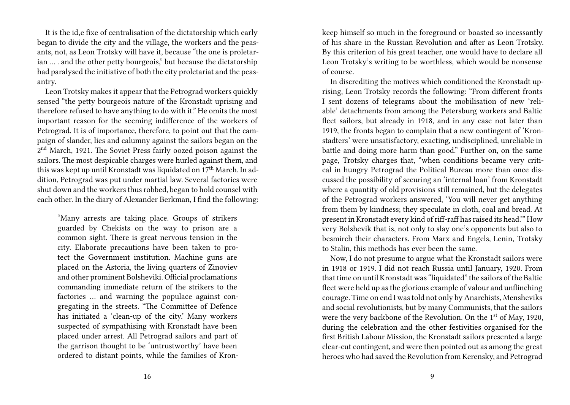It is the id, e fixe of centralisation of the dictatorship which early began to divide the city and the village, the workers and the peasants, not, as Leon Trotsky will have it, because "the one is proletarian … . and the other petty bourgeois," but because the dictatorship had paralysed the initiative of both the city proletariat and the peasantry.

Leon Trotsky makes it appear that the Petrograd workers quickly sensed "the petty bourgeois nature of the Kronstadt uprising and therefore refused to have anything to do with it." He omits the most important reason for the seeming indifference of the workers of Petrograd. It is of importance, therefore, to point out that the campaign of slander, lies and calumny against the sailors began on the 2<sup>nd</sup> March, 1921. The Soviet Press fairly oozed poison against the sailors. The most despicable charges were hurled against them, and this was kept up until Kronstadt was liquidated on 17<sup>th</sup> March. In addition, Petrograd was put under martial law. Several factories were shut down and the workers thus robbed, began to hold counsel with each other. In the diary of Alexander Berkman, I find the following:

"Many arrests are taking place. Groups of strikers guarded by Chekists on the way to prison are a common sight. There is great nervous tension in the city. Elaborate precautions have been taken to protect the Government institution. Machine guns are placed on the Astoria, the living quarters of Zinoviev and other prominent Bolsheviki. Official proclamations commanding immediate return of the strikers to the factories … and warning the populace against congregating in the streets. "The Committee of Defence has initiated a 'clean-up of the city.' Many workers suspected of sympathising with Kronstadt have been placed under arrest. All Petrograd sailors and part of the garrison thought to be 'untrustworthy' have been ordered to distant points, while the families of Kron-

keep himself so much in the foreground or boasted so incessantly of his share in the Russian Revolution and after as Leon Trotsky. By this criterion of his great teacher, one would have to declare all Leon Trotsky's writing to be worthless, which would be nonsense of course.

In discrediting the motives which conditioned the Kronstadt uprising, Leon Trotsky records the following: "From different fronts I sent dozens of telegrams about the mobilisation of new 'reliable' detachments from among the Petersburg workers and Baltic fleet sailors, but already in 1918, and in any case not later than 1919, the fronts began to complain that a new contingent of 'Kronstadters' were unsatisfactory, exacting, undisciplined, unreliable in battle and doing more harm than good." Further on, on the same page, Trotsky charges that, "when conditions became very critical in hungry Petrograd the Political Bureau more than once discussed the possibility of securing an 'internal loan' from Kronstadt where a quantity of old provisions still remained, but the delegates of the Petrograd workers answered, 'You will never get anything from them by kindness; they speculate in cloth, coal and bread. At present in Kronstadt every kind of riff-raff has raised its head.'" How very Bolshevik that is, not only to slay one's opponents but also to besmirch their characters. From Marx and Engels, Lenin, Trotsky to Stalin, this methods has ever been the same.

Now, I do not presume to argue what the Kronstadt sailors were in 1918 or 1919. I did not reach Russia until January, 1920. From that time on until Kronstadt was "liquidated" the sailors of the Baltic fleet were held up as the glorious example of valour and unflinching courage. Time on end I was told not only by Anarchists, Mensheviks and social revolutionists, but by many Communists, that the sailors were the very backbone of the Revolution. On the 1<sup>st</sup> of May, 1920, during the celebration and the other festivities organised for the first British Labour Mission, the Kronstadt sailors presented a large clear-cut contingent, and were then pointed out as among the great heroes who had saved the Revolution from Kerensky, and Petrograd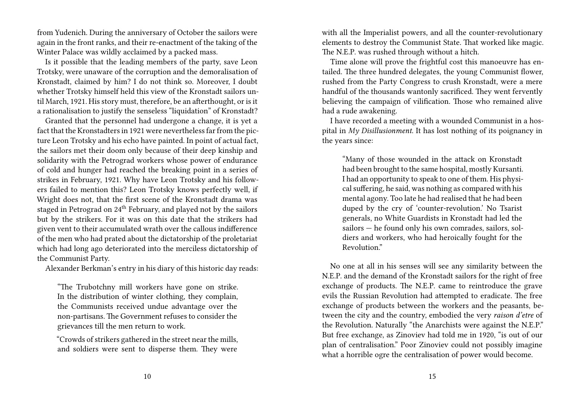from Yudenich. During the anniversary of October the sailors were again in the front ranks, and their re-enactment of the taking of the Winter Palace was wildly acclaimed by a packed mass.

Is it possible that the leading members of the party, save Leon Trotsky, were unaware of the corruption and the demoralisation of Kronstadt, claimed by him? I do not think so. Moreover, I doubt whether Trotsky himself held this view of the Kronstadt sailors until March, 1921. His story must, therefore, be an afterthought, or is it a rationalisation to justify the senseless "liquidation" of Kronstadt?

Granted that the personnel had undergone a change, it is yet a fact that the Kronstadters in 1921 were nevertheless far from the picture Leon Trotsky and his echo have painted. In point of actual fact, the sailors met their doom only because of their deep kinship and solidarity with the Petrograd workers whose power of endurance of cold and hunger had reached the breaking point in a series of strikes in February, 1921. Why have Leon Trotsky and his followers failed to mention this? Leon Trotsky knows perfectly well, if Wright does not, that the first scene of the Kronstadt drama was staged in Petrograd on 24<sup>th</sup> February, and played not by the sailors but by the strikers. For it was on this date that the strikers had given vent to their accumulated wrath over the callous indifference of the men who had prated about the dictatorship of the proletariat which had long ago deteriorated into the merciless dictatorship of the Communist Party.

Alexander Berkman's entry in his diary of this historic day reads:

"The Trubotchny mill workers have gone on strike. In the distribution of winter clothing, they complain, the Communists received undue advantage over the non-partisans. The Government refuses to consider the grievances till the men return to work.

"Crowds of strikers gathered in the street near the mills, and soldiers were sent to disperse them. They were

with all the Imperialist powers, and all the counter-revolutionary elements to destroy the Communist State. That worked like magic. The N.E.P. was rushed through without a hitch.

Time alone will prove the frightful cost this manoeuvre has entailed. The three hundred delegates, the young Communist flower, rushed from the Party Congress to crush Kronstadt, were a mere handful of the thousands wantonly sacrificed. They went fervently believing the campaign of vilification. Those who remained alive had a rude awakening.

I have recorded a meeting with a wounded Communist in a hospital in *My Disillusionment*. It has lost nothing of its poignancy in the years since:

"Many of those wounded in the attack on Kronstadt had been brought to the same hospital, mostly Kursanti. I had an opportunity to speak to one of them. His physical suffering, he said, was nothing as compared with his mental agony. Too late he had realised that he had been duped by the cry of 'counter-revolution.' No Tsarist generals, no White Guardists in Kronstadt had led the sailors — he found only his own comrades, sailors, soldiers and workers, who had heroically fought for the Revolution."

No one at all in his senses will see any similarity between the N.E.P. and the demand of the Kronstadt sailors for the right of free exchange of products. The N.E.P. came to reintroduce the grave evils the Russian Revolution had attempted to eradicate. The free exchange of products between the workers and the peasants, between the city and the country, embodied the very *raison d'etre* of the Revolution. Naturally "the Anarchists were against the N.E.P." But free exchange, as Zinoviev had told me in 1920, "is out of our plan of centralisation." Poor Zinoviev could not possibly imagine what a horrible ogre the centralisation of power would become.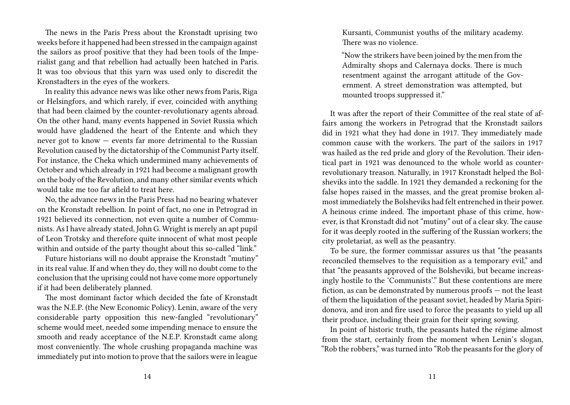The news in the Paris Press about the Kronstadt uprising two weeks before it happened had been stressed in the campaign against the sailors as proof positive that they had been tools of the Imperialist gang and that rebellion had actually been hatched in Paris. It was too obvious that this yarn was used only to discredit the Kronstadters in the eyes of the workers.

In reality this advance news was like other news from Paris, Riga or Helsingfors, and which rarely, if ever, coincided with anything that had been claimed by the counter-revolutionary agents abroad. On the other hand, many events happened in Soviet Russia which would have gladdened the heart of the Entente and which they never got to know — events far more detrimental to the Russian Revolution caused by the dictatorship of the Communist Party itself. For instance, the Cheka which undermined many achievements of October and which already in 1921 had become a malignant growth on the body of the Revolution, and many other similar events which would take me too far afield to treat here.

No, the advance news in the Paris Press had no bearing whatever on the Kronstadt rebellion. In point of fact, no one in Petrograd in 1921 believed its connection, not even quite a number of Communists. As I have already stated, John G. Wright is merely an apt pupil of Leon Trotsky and therefore quite innocent of what most people within and outside of the party thought about this so-called "link."

Future historians will no doubt appraise the Kronstadt "mutiny" in its real value. If and when they do, they will no doubt come to the conclusion that the uprising could not have come more opportunely if it had been deliberately planned.

The most dominant factor which decided the fate of Kronstadt was the N.E.P. (the New Economic Policy). Lenin, aware of the very considerable party opposition this new-fangled "revolutionary" scheme would meet, needed some impending menace to ensure the smooth and ready acceptance of the N.E.P. Kronstadt came along most conveniently. The whole crushing propaganda machine was immediately put into motion to prove that the sailors were in league Kursanti, Communist youths of the military academy. There was no violence.

"Now the strikers have been joined by the men from the Admiralty shops and Calernaya docks. There is much resentment against the arrogant attitude of the Government. A street demonstration was attempted, but mounted troops suppressed it."

It was after the report of their Committee of the real state of affairs among the workers in Petrograd that the Kronstadt sailors did in 1921 what they had done in 1917. They immediately made common cause with the workers. The part of the sailors in 1917 was hailed as the red pride and glory of the Revolution. Their identical part in 1921 was denounced to the whole world as counterrevolutionary treason. Naturally, in 1917 Kronstadt helped the Bolsheviks into the saddle. In 1921 they demanded a reckoning for the false hopes raised in the masses, and the great promise broken almost immediately the Bolsheviks had felt entrenched in their power. A heinous crime indeed. The important phase of this crime, however, is that Kronstadt did not "mutiny" out of a clear sky. The cause for it was deeply rooted in the suffering of the Russian workers; the city proletariat, as well as the peasantry.

To be sure, the former commissar assures us that "the peasants reconciled themselves to the requisition as a temporary evil," and that "the peasants approved of the Bolsheviki, but became increasingly hostile to the 'Communists'." But these contentions are mere fiction, as can be demonstrated by numerous proofs — not the least of them the liquidation of the peasant soviet, headed by Maria Spiridonova, and iron and fire used to force the peasants to yield up all their produce, including their grain for their spring sowing.

In point of historic truth, the peasants hated the régime almost from the start, certainly from the moment when Lenin's slogan, "Rob the robbers," was turned into "Rob the peasants for the glory of